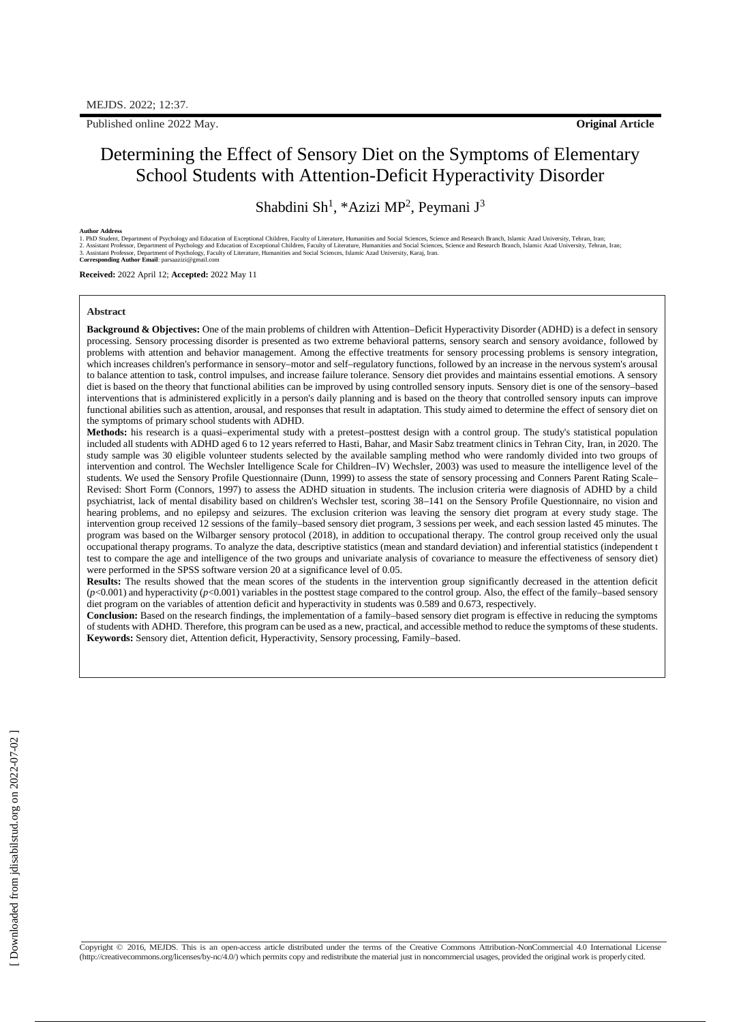Published online 2022 May. **Original Article**

# Determining the Effect of Sensory Diet on the Symptoms of Elementary School Students with Attention-Deficit Hyperactivity Disorder

Shabdini Sh<sup>1</sup>, \*Azizi MP<sup>2</sup>, Peymani J<sup>3</sup>

Author Address<br>1. PhD Student, Department of Psychology and Education of Exceptional Children, Faculty of Literature, Humanities and Social Sciences, Science and Research Branch, Islamic Azad University, Tehran, Iran;<br>2. A

**Received:** 2022 April 12; **Accepted:** 2022 May 11

### **Abstract**

**Background & Objectives:** One of the main problems of children with Attention–Deficit Hyperactivity Disorder (ADHD) is a defect in sensory processing. Sensory processing disorder is presented as two extreme behavioral patterns, sensory search and sensory avoidance, followed by problems with attention and behavior management. Among the effective treatments for sensory processing problems is sensory integration, which increases children's performance in sensory–motor and self–regulatory functions, followed by an increase in the nervous system's arousal to balance attention to task, control impulses, and increase failure tolerance. Sensory diet provides and maintains essential emotions. A sensory diet is based on the theory that functional abilities can be improved by using controlled sensory inputs. Sensory diet is one of the sensory–based interventions that is administered explicitly in a person's daily planning and is based on the theory that controlled sensory inputs can improve functional abilities such as attention, arousal, and responses that result in adaptation. This study aimed to determine the effect of sensory diet on the symptoms of primary school students with ADHD.

**Methods:** his research is a quasi–experimental study with a pretest–posttest design with a control group. The study's statistical population included all students with ADHD aged 6 to 12 years referred to Hasti, Bahar, and Masir Sabz treatment clinics in Tehran City, Iran, in 2020. The study sample was 30 eligible volunteer students selected by the available sampling method who were randomly divided into two groups of intervention and control. The Wechsler Intelligence Scale for Children–IV) Wechsler, 2003) was used to measure the intelligence level of the students. We used the Sensory Profile Questionnaire (Dunn, 1999) to assess the state of sensory processing and Conners Parent Rating Scale– Revised: Short Form (Connors, 1997) to assess the ADHD situation in students. The inclusion criteria were diagnosis of ADHD by a child psychiatrist, lack of mental disability based on children's Wechsler test, scoring 38–141 on the Sensory Profile Questionnaire, no vision and hearing problems, and no epilepsy and seizures. The exclusion criterion was leaving the sensory diet program at every study stage. The intervention group received 12 sessions of the family–based sensory diet program, 3 sessions per week, and each session lasted 45 minutes. The program was based on the Wilbarger sensory protocol (2018), in addition to occupational therapy. The control group received only the usual occupational therapy programs. To analyze the data, descriptive statistics (mean and standard deviation) and inferential statistics (independent t test to compare the age and intelligence of the two groups and univariate analysis of covariance to measure the effectiveness of sensory diet) were performed in the SPSS software version 20 at a significance level of 0.05.

**Results:** The results showed that the mean scores of the students in the intervention group significantly decreased in the attention deficit  $(p<0.001)$  and hyperactivity  $(p<0.001)$  variables in the posttest stage compared to the control group. Also, the effect of the family–based sensory diet program on the variables of attention deficit and hyperactivity in students was 0.589 and 0.673, respectively.

**Conclusion:** Based on the research findings, the implementation of a family–based sensory diet program is effective in reducing the symptoms of students with ADHD. Therefore, this program can be used as a new, practical, and accessible method to reduce the symptoms of these students. **Keywords:** Sensory diet, Attention deficit, Hyperactivity, Sensory processing, Family–based.

Copyright © 2016, MEJDS. This is an open-access article distributed under the terms of the Creative Commons Attribution-NonCommercial 4.0 International License [\(http://creativecommons.org/licenses/by-nc/4.0/\)](http://creativecommons.org/licenses/by-nc/4.0/\)) which permits copy and redistribute the material just in noncommercial usages, provided the original work is properlycited.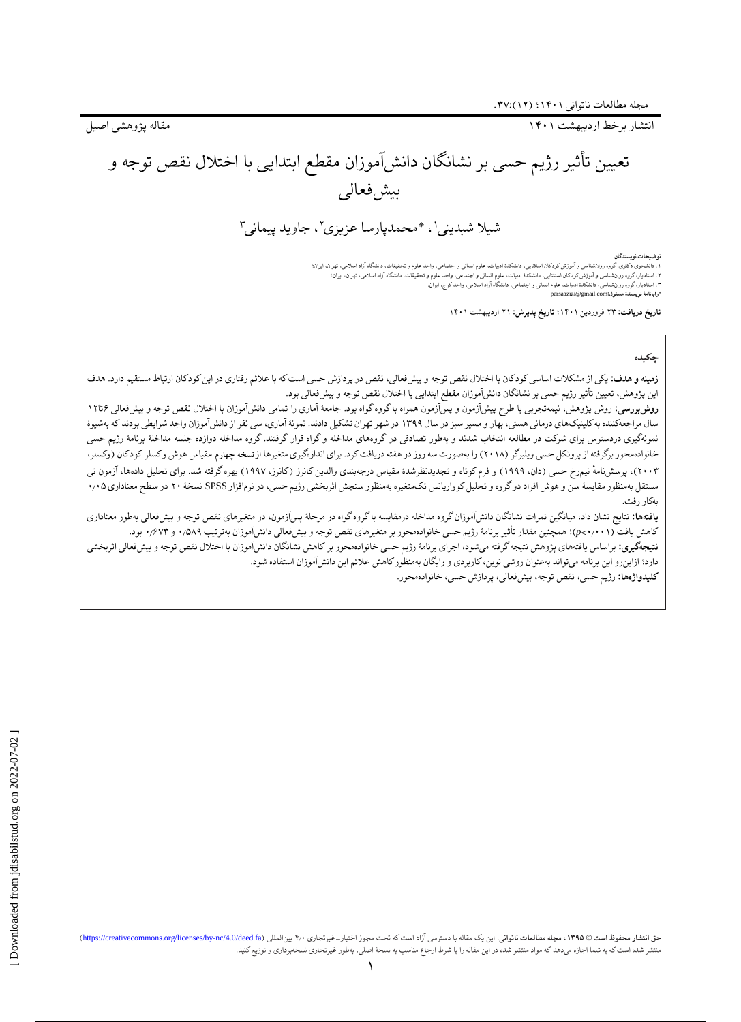انتشار برخط اردیبهشت 1۴۰1 مقاله پژوهشی اصیل

تعیین تأثیر رژیم حسی بر نشانگان دانشآموزان مقطع ابتدایی با اختالل نقص توجه و بیش فعالی

شیلا شبدینی'، \*محمدپارسا عزیزی''، جاوید پیمانی"

توضیحات نویستدگان<br>۱. دانشجوی دکتوری دورادشناسی و آموزش کودکان استثابی، دانشکده ادبیات، علوم انسانی و اجتماعی، واحدقیقات، دانشگاه آزاد اسلامی، تهران، ایران:<br>۲. استادیار، گروه روادشناسی و آموزش کودکان استثابی، دانشکده ادبیا **\*رایانامٔه نویسندٔه مسئول:**com.gmail@parsaazizi

**تاریخ دریافت:** ۲۳ فروردین 1۴۰1؛ **تاریخ پذیرش:** ۲1 اردیبهشت 1۴۰1

### **چکیده**

**زمینه و هدف:** یکی از مشکالت اساسی کودکان با اختالل نقص توجه و بیشفعالی، نقص در پردازش حسی است که با عالئم رفتاری در این کودکان ارتباط مستقیم دارد. هدف این پژوهش، تعیین تأثیر رژیم حسی بر نشانگان دانشآموزان مقطع ابتدایی با اختالل نقص توجه و بیشفعالی بود.

**روشبررسی:** روش پژوهش، نیمهتجربی با طرح پیشآزمون و پسآزمون همراه باگروه گواه بود. جامعهٔ آماری را تمامی دانشآموزان با اختلال نقص توجه و بیشفعالی ۶تا۱۲ سال مراجعهکننده به کلینیکهای درمانی هستی، بهار و مسیر سبز در سال ۱۳۹۹ در شهران تشکیل دادند، نمونهٔ آماری، سی نفر از دانشآموزان واجد شرایطی بودند که بهشیوهٔ نمونهگیری دردسترس برای شرکت در مطالعه انتخاب شدند و بهطور تصادفی در گروههای مداخله و گواه قرار گرفتند. گروه مداخله دوازده جلسه مداخلهٔ برنامهٔ رژیم حسی خانوادهمحور برگرفته از پروتکل حسی ویلبرگر (۲۰۱۸) را بهصورت سه روز در هفته دریافت کرد. برای اندازهگیری متغیرها از نسخه چهارم مقیاس هوش وکسلر کودکان (وکسلر، ۲۰۰۳)، پرسشنامهٔ نیمرخ حسی (دان، ۱۹۹۹) و فرم کوتاه و تجدیدنظرشدهٔ مقیاس درجهبندی والدین کانرز (کانرز، ۱۹۹۷) بهره گرفته شد. برای تحلیل دادهها، آزمون تی مستقل بهمنظور مقایسٔه سن و هوش افراد دو گروه و تحلیلکوواریانس تکمتغیره بهمنظور سنجش اثربخشی رژیم حسی، در نرمافزار SPSS نسخٔه ۲۰ در سطح معناداری ۰٫۰۵ بهکار رفت.

**یافتهها:** نتایج نشان داد، میانگین نمرات نشانگان دانشآموزان گروه مداخله درموگ واه در مرحلهٔ پسآزمون، در متغیرهای نقص توجه و بیشفعالی بهطور معناداری کاهش یافت )۰٫۰۰1<*p*)؛ همچنین مقدار تأثیر برنامٔه رژیم حسی خانوادهمحور بر متغیرهای نقص توجه و بیشفعالی دانشآموزان بهترتیب ۰٫۵۸۹ و ۰٫۶۷۳ بود. **نتیجهگیری:** براساس یافتههای پژوهش نتیجه گرفته میشود، اجرای برنامهٔ رژیم حسی خانوادهمحور بر کاهش نشانگان دانشآموزان با اختلال نقص توجه و بیشفعالی اثربخشی

دارد؛ ازاینرو این برنامه میتواند بهعنوان روشی نوین، کاربردی و رایگان بهمنظورکاهش عالئم این دانشآموزان استفاده شود.

**کلیدواژهها:** رژیم حسی، نقص توجه، بیشفعالی، پردازش حسی، خانوادهمحور.

 $\overline{a}$ حق انتشار محفوظ است @ ١٣٩٥، مجله مطالعات ناتواني. اين يك مقاله با دسترسي آزاد است كه تحت مجوز اختيارت غيرتجاري ٢٠٠ بينالمللي (https://creativecommons.org/licenses/by-nc/4.0/deed.fa) بهجله مطالعات ناتواني. اين دعت ماله با منتشر شده استکه به شما اجازه میدهد که مواد منتشر شده در این مقاله را با شرط ارجاع مناسب به نسخٔه اصلی، بهطور غیرتجاری نسخهبرداری و توزیعکنید.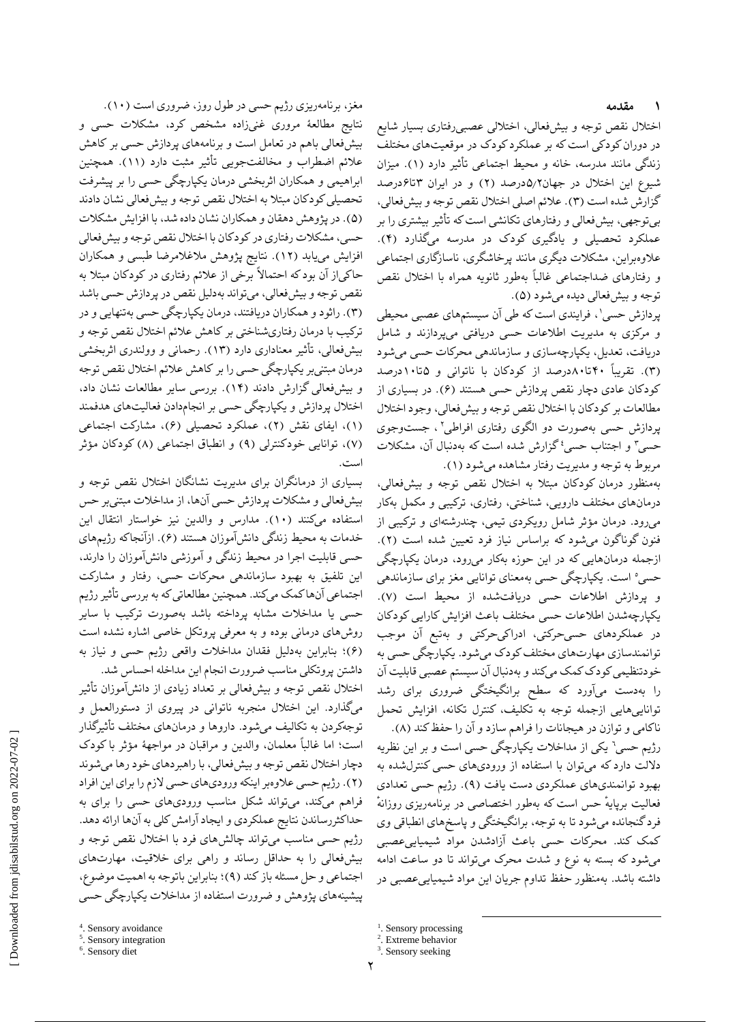اختالل نقص توجه و بیشفعالى، اختاللی عصبىرفتارى بسیار شایع در دوران کودکى است که بر عملکرد کودک در موقعیتهای مختلف زندگی مانند مدرسه، خانه و محیط اجتماعی تأثیر دارد )1(. میزان شیوع این اختالل در جهان۵٫۲درصد )۲( و در ایران ۳تا۶درصد گزارش شده است (۳). علائم اصلی اختلال نقص توجه و بیشفعالی، بیتوجهی، بیشفعالی و رفتارهای تکانشی استکه تأثیر بیشتری را بر عملکرد تحصیلی و یادگیری کودک در مدرسه میگذارد )۴(. عالوهبراین، مشکالت دیگری مانند پرخاشگری، ناسازگاری اجتماعی و رفتارهای ضداجتماعی غالباً بهطور ثانویه همراه با اختالل نقص توجه و بیشفعالی دیده میشود )۵(.

1 پردازش حسی ، فرایندی است که طی آن سیستمهای عصبی محیطی و مرکزی به مدیریت اطالعات حسی دریافتی میپردازند و شامل دریافت، تعدیل، یکپارچهسازی و سازماندهی محرکات حسی میشود )۳(. تقریباً ۴۰تا۸۰درصد از کودکان با ناتوانی و ۵تا1۰درصد کودکان عادی دچار نقص پردازش حسی هستند )۶(. در بسیاری از مطالعات بر کودکان با اختالل نقص توجه و بیشفعالی، وجود اختالل پردازش حسی بهصورت دو الگوی رفتاری افراطی' ، جستوجوی حسی ؓ و اجتناب حسی ٗ گزارش شده است که بهدنبال آن، مشکلات مربوط به توجه و مدیریت رفتار مشاهده میشود )1(.

بهمنظور درمان کودکان مبتال به اختالل نقص توجه و بیشفعالی، درمانهای مختلف دارویی، شناختی، رفتاری، ترکیبی و مکمل بهکار میرود. درمان مؤثر شامل رویکردی تیمی، چندرشتهای و ترکیبی از فنون گوناگون میشود که براساس نیاز فرد تعیین شده است )۲(. ازجمله درمانهایی که در این حوزه بهکار میرود، درمان یکپارچگی حسی° است. یکپارچگی حسی بهمعنای توانایی مغز برای سازماندهی و پردازش اطالعات حسی دریافتشده از محیط است )۷(. یکپارچهشدن اطالعات حسی مختلف باعث افزایش کارایی کودکان در عملکردهای حسیحرکتی، ادراکیحرکتی و بهتبع آن موجب توانمندسازی مهارتهای مختلف کودک میشود. یکپارچگی حسی به خودتنظیمی کودک کمک میکند و بهدنبال آن سیستم عصبی قابلیت آن را بهدست میآورد که سطح برانگیختگی ضروری برای رشد تواناییهایی ازجمله توجه به تکلیف، کنترل تکانه، افزایش تحمل ناکامی و توازن در هیجانات را فراهم سازد و آن را حفظ کند (۸). 6 رژیم حسی یکی از مداخالت یکپارچگی حسی است و بر این نظریه داللت دارد که میتوان با استفاده از ورودیهای حسی کنترلشده به بهبود توانمندیهای عملکردی دست یافت )۹(. رژیم حسی تعدادی فعالیت برپایهٔ حس است که بهطور اختصاصی در برنامهریزی روزانهٔ فرد گنجانده میشود تا به توجه، برانگیختگی و پاسخهای انطباقی وی کمک کند. محرکات حسی باعث آزادشدن مواد شیمیاییعصبی میشود که بسته به نوع و شدت محرک میتواند تا دو ساعت ادامه داشته باشد. بهمنظور حفظ تداوم جریان این مواد شیمیاییعصبی در

 $\overline{a}$ 

مغز، برنامهریزی رژیم حسی در طول روز، ضروری است )1۰(. نتایج مطالعٔه مروری غنیزاده مشخص کرد، مشکالت حسی و بیشفعالی باهم در تعامل است و برنامههای پردازش حسی بر کاهش عالئم اضطراب و مخالفتجویی تأثیر مثبت دارد )11(. همچنین ابراهیمی و همکاران اثربخشی درمان یکپارچگی حسی را بر پیشرفت تحصیلی کودکان مبتال به اختالل نقص توجه و بیشفعالی نشان دادند )۵(. در پژوهش دهقان و همکاران نشان داده شد، با افزایش مشکالت حسی، مشکالت رفتاری در کودکان با اختالل نقص توجه و بیشفعالی افزایش مییابد )1۲(. نتایج پژوهش مالغالمرضا طبسی و همکاران حاکیاز آن بود که احتماالً برخی از عالئم رفتاری در کودکان مبتال به نقص توجه و بیشفعالی، میتواند بهدلیل نقص در پردازش حسی باشد )۳(. راثود و همکاران دریافتند، درمان یکپارچگی حسی بهتنهایی و در ترکیب با درمان رفتاریشناختی بر کاهش عالئم اختالل نقص توجه و بیشفعالی، تأثیر معناداری دارد )1۳(. رحمانی و وولندری اثربخشی درمان مبتنیبر یکپارچگی حسی را بر کاهش عالئم اختالل نقص توجه و بیشفعالی گزارش دادند )1۴(. بررسی سایر مطالعات نشان داد، اختالل پردازش و یکپارچگی حسی بر انجامدادن فعالیتهای هدفمند )1(، ایفای نقش )۲(، عملکرد تحصیلی )۶(، مشارکت اجتماعی )۷(، توانایی خودکنترلی )۹( و انطباق اجتماعی )۸( کودکان مؤثر است.

بسیاری از درمانگران برای مدیریت نشانگان اختالل نقص توجه و بیشفعالی و مشکالت پردازش حسی آنها، از مداخالت مبتنیبر حس استفاده میکنند )1۰(. مدارس و والدین نیز خواستار انتقال این خدمات به محیط زندگی دانشآموزان هستند )۶(. ازآنجاکه رژیمهای حسی قابلیت اجرا در محیط زندگی و آموزشی دانشآموزان را دارند، این تلفیق به بهبود سازماندهی محرکات حسی، رفتار و مشارکت اجتماعی آنها کمک میکند. همچنین مطالعاتی که به بررسی تأثیر رژیم حسی یا مداخالت مشابه پرداخته باشد بهصورت ترکیب با سایر روشهای درمانی بوده و به معرفی پروتکل خاصی اشاره نشده است )۶(؛ بنابراین بهدلیل فقدان مداخالت واقعی رژیم حسی و نیاز به داشتن پروتکلی مناسب ضرورت انجام این مداخله احساس شد.

اختالل نقص توجه و بیشفعالی بر تعداد زیادی از دانشآموزان تأثیر میگذارد. این اختالل منجربه ناتوانی در پیروی از دستورالعمل و توجهکردن به تکالیف میشود. داروها و درمانهای مختلف تأثیرگذار است؛ اما غالباً معلمان، والدین و مراقبان در مواجهٔه مؤثر با کودک دچار اختالل نقص توجه و بیشفعالی، با راهبردهای خود رها میشوند )۲(. رژیم حسی عالوهبر اینکه ورودیهای حسی الزم را برای این افراد فراهم میکند، میتواند شکل مناسب ورودیهای حسی را برای به حداکثررساندن نتایج عملکردی و ایجاد آرامش کلی به آنها ارائه دهد. رژیم حسی مناسب میتواند چالشهای فرد با اختالل نقص توجه و بیشفعالی را به حداقل رساند و راهی برای خالقیت، مهارتهای اجتماعی و حل مسئله باز کند )۹(؛ بنابراین باتوجه به اهمیت موضوع، پیشینههای پژوهش و ضرورت استفاده از مداخالت یکپارچگی حسی

<sup>&</sup>lt;sup>1</sup>. Sensory processing

<sup>2</sup> . Extreme behavior

<sup>&</sup>lt;sup>3</sup>. Sensory seeking

<sup>4</sup> . Sensory avoidance

<sup>5</sup> . Sensory integration

<sup>6</sup> . Sensory diet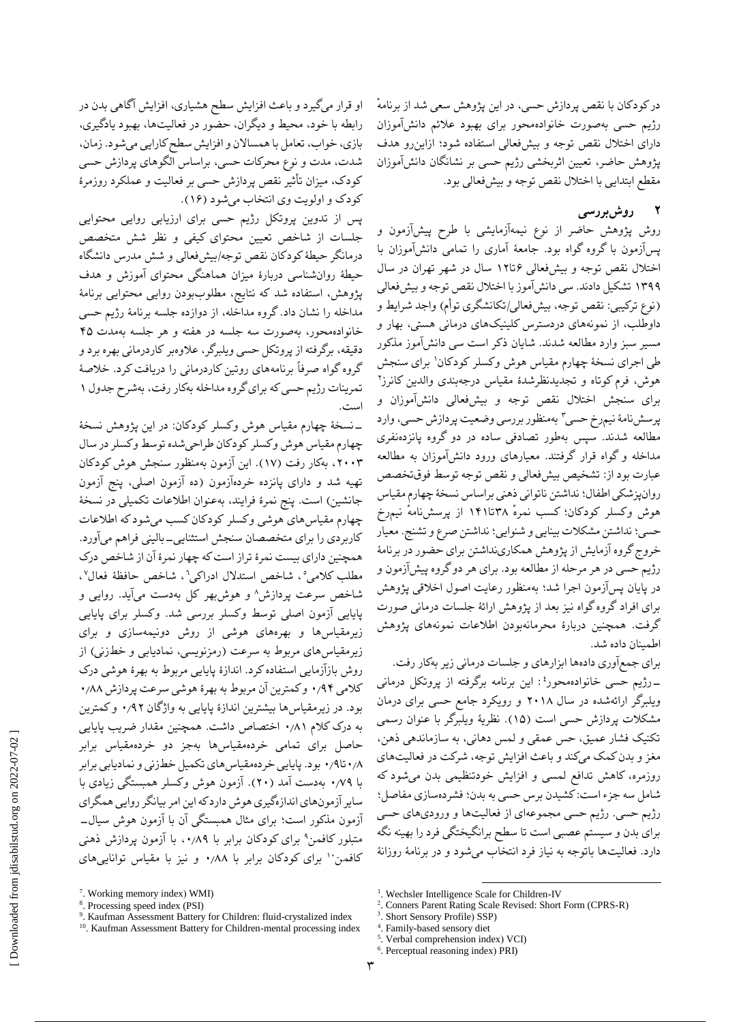ٔ در کودکان با نقص پردازش حسی، در این پژوهش سعی شد از برنامه رژیم حسی بهصورت خانوادهمحور برای بهبود عالئم دانشآموزان دارای اختالل نقص توجه و بیشفعالی استفاده شود؛ ازاینرو هدف پژوهش حاضر، تعیین اثربخشی رژیم حسی بر نشانگان دانشآموزان مقطع ابتدایی با اختالل نقص توجه و بیشفعالی بود.

## **2 روشبررسی**

روش پژوهش حاضر از نوع نیمهآزمایشی با طرح پیشآزمون و پسآزمون با گروه گواه بود. جامعٔه آماری را تمامی دانشآموزان با اختالل نقص توجه و بیشفعالی ۶تا1۲ سال در شهر تهران در سال 1۳۹۹ تشکیل دادند. سی دانشآموز با اختالل نقص توجه و بیشفعالی (نوع ترکیبی: نقص توجه، بیشفعالی/تکانشگری توأم) واجد شرایط و داوطلب، از نمونههای دردسترس کلینیکهای درمانی هستی، بهار و مسیر سبز وارد مطالعه شدند. شایان ذکر است سی دانشآموز مذکور طی اجرای نسخهٔ چهارم مقیاس هوش وکسلر کودکان' برای سنجش ۲ هوش، فرم کوتاه و تجدیدنظرشدٔه مقیاس درجهبندی والدین کانرز برای سنجش اختالل نقص توجه و بیشفعالی دانشآموزان و پرسشنامهٔ نیمرخ حسی ؓ بهمنظور بررسی وضعیت پردازش حسی، وارد مطالعه شدند. سپس بهطور تصادفی ساده در دو گروه پانزدهنفری مداخله و گواه قرار گرفتند. معیارهای ورود دانشآموزان به مطالعه عبارت بود از: تشخیص بیشفعالی و نقص توجه توسط فوقتخصص روانپزشکی اطفال؛ نداشتن ناتوانی ذهنی براساس نسخٔه چهارم مقیاس هوش وکسلر کودکان؛ ٔ کسب نمره ۳۸تا1۴1 از پرسشنامهٔ نیمرخ حسی؛ نداشتن مشکالت بینایی و شنوایی؛ نداشتن صرع و تشنج. معیار خروج گروه آزمایش از پژوهش همکارینداشتن برای حضور در برنامٔه رژیم حسی در هر مرحله از مطالعه بود. برای هر دو گروه پیشآزمون و در پایان پسآزمون اجرا شد؛ بهمنظور رعایت اصول اخالقی پژوهش برای افراد گروه گواه نیز بعد از پژوهش ارائٔه جلسات درمانی صورت گرفت. همچنین دربارٔه محرمانهبودن اطالعات نمونههای پژوهش اطمینان داده شد.

برای جمعآوری دادهها ابزارهای و جلسات درمانی زیر بهکار رفت. 4 : این برنامه برگرفته از پروتکل درمانی -رژیم حسی خانوادهمحور ویلبرگر ارائهشده در سال ۲۰1۸ و رویکرد جامع حسی برای درمان مشکالت پردازش حسی است )1۵(. نظریٔه ویلبرگر با عنوان رسمی تکنیک فشار عمیق، حس عمقی و لمس دهانی، به سازماندهی ذهن، مغز و بدن کمک میکند و باعث افزایش توجه، شرکت در فعالیتهای روزمره، کاهش تدافع لمسی و افزایش خودتنظیمی بدن میشود که شامل سه جزء است: کشیدن برس حسی به بدن؛ فشردهسازی مفاصل؛ رژیم حسی. رژیم حسی مجموعهای از فعالیتها و ورودیهای حسی برای بدن و سیستم عصبی است تا سطح برانگیختگی فرد را بهینه نگه دارد. فعالیتها باتوجه به نیاز فرد انتخاب میشود و در برنامٔه روزانٔه

او قرار میگیرد و باعث افزایش سطح هشیاری، افزایش آگاهی بدن در رابطه با خود، محیط و دیگران، حضور در فعالیتها، بهبود یادگیری، بازی، خواب، تعامل با همساالن و افزایش سطح کارایی میشود. زمان، شدت، مدت و نوع محرکات حسی، براساس الگوهای پردازش حسی کودک، میزان تأثیر نقص پردازش حسی بر فعالیت و عملکرد روزمرٔه کودک و اولویت وی انتخاب میشود )1۶(.

پس از تدوین پروتکل رژیم حسی برای ارزیابی روایی محتوایی جلسات از شاخص تعیین محتوای کیفی و نظر شش متخصص درمانگر حیطٔهکودکان نقص توجه/بیشفعالی و شش مدرس دانشگاه حیطٔه روانشناسی دربارٔه میزان هماهنگی محتوای آموزش و هدف پژوهش، استفاده شد که نتایج، مطلوببودن روایی محتوایی برنامٔه مداخله را نشان داد. گروه مداخله، از دوازده جلسه برنامٔه رژیم حسی خانوادهمحور، بهصورت سه جلسه در هفته و هر جلسه بهمدت ۴۵ دقیقه، برگرفته از پروتکل حسی ویلبرگر، عالوهبر کاردرمانی بهره برد و گروه گواه صرفاً برنامههای روتین کاردرمانی را دریافت کرد. خالصٔه تمرینات رژیم حسی که برای گروه مداخله بهکار رفت، بهشرح جدول 1 است.

-نسخٔه چهارم مقیاس هوش وکسلر کودکان: در این پژوهش نسخٔه چهارم مقیاس هوش وکسلر کودکان طراحیشده توسط وکسلر در سال ،۲۰۰۳ بهکار رفت )1۷(. این آزمون بهمنظور سنجش هوش کودکان تهیه شد و دارای پانزده خردهآزمون )ده آزمون اصلی، پنج آزمون جانشین) است. پنج نمرهٔ فرایند، بهعنوان اطلاعات تکمیلی در نسخهٔ چهارم مقیاسهای هوشی وکسلر کودکان کسب میشود که اطالعات کاربردی را برای متخصصان سنجش استثنایی-بالینی فراهم میآورد. همچنین دارای بیست نمرٔه تراز است که چهار نمرٔه آن از شاخص درک مطلب کلامی°، شاخص استدلال ادراکی<sup>۰</sup>، شاخص حافظهٔ فعال<sup>۷</sup>، ۸ شاخص سرعت پردازش و هوشبهر کل بهدست میآید. روایی و پایایی آزمون اصلی توسط وکسلر بررسی شد. وکسلر برای پایایی زیرمقیاسها و بهرههای هوشی از روش دونیمهسازی و برای زیرمقیاسهای مربوط به سرعت (رمزنویسی، نمادیابی و خطزنی) از روش بازآزمایی استفاده کرد. اندازٔه پایایی مربوط به بهرٔه هوشی درک کالمی ۰٫۹۴ وکمترین آن مربوط به بهرٔه هوشی سرعت پردازش ۰٫۸۸ بود. در زیرمقیاسها بیشترین اندازٔه پایایی به واژگان ۰٫۹۲ وکمترین به درک کالم ۰٫۸1 اختصاص داشت. همچنین مقدار ضریب پایایی حاصل برای تمامی خردهمقیاسها بهجز دو خردهمقیاس برابر ۰٫۸تا۰٫۹ بود. پایایی خردهمقیاسهای تکمیل خطزنی و نمادیابی برابر با ۰٫۷۹ بهدست آمد )۲۰(. آزمون هوش وکسلر همبستگی زیادی با سایر آزمونهای اندازهگیری هوش دارد که این امر بیانگر روایی همگرای آزمون مذکور است؛ برای مثال همبستگی آن با آزمون هوش سیال- متبلور کافمن<sup>۹</sup> برای کودکان برابر با ۰٫۸۹٪ با آزمون پردازش ذهنی کافمن'' برای کودکان برابر با ۰٫۸۸ و نیز با مقیاس تواناییهای

 $\overline{a}$ 

<sup>&</sup>lt;sup>7</sup>. Working memory index) WMI)

<sup>8</sup> . Processing speed index (PSI)

<sup>&</sup>lt;sup>9</sup>. Kaufman Assessment Battery for Children: fluid-crystalized index

<sup>&</sup>lt;sup>10</sup>. Kaufman Assessment Battery for Children-mental processing index

<sup>&</sup>lt;sup>1</sup>. Wechsler Intelligence Scale for Children-IV

<sup>&</sup>lt;sup>2</sup>. Conners Parent Rating Scale Revised: Short Form (CPRS-R)<sup>3</sup> Short Sonsory Profile) SSD)

Short Sensory Profile) SSP)

<sup>4</sup> . Family-based sensory diet 5

Verbal comprehension index) VCI)

<sup>&</sup>lt;sup>6</sup>. Perceptual reasoning index) PRI)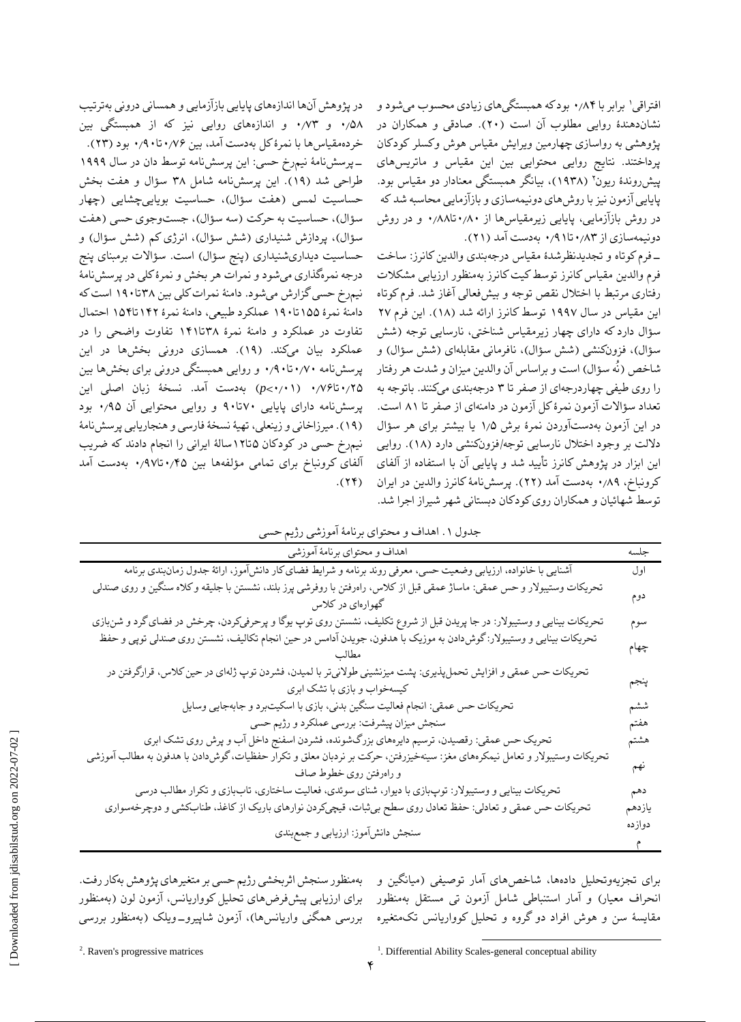1 افتراقی برابر با ۰٫۸۴ بود که همبستگیهای زیادی محسوب میشود و نشاندهندٔه روایی مطلوب آن است )۲۰(. صادقی و همکاران در پژوهشی به رواسازی چهارمین ویرایش مقیاس هوش وکسلر کودکان پرداختند. نتایج روایی محتوایی بین این مقیاس و ماتریسهای پیشرروندهٔ ریون<sup>٬</sup> (۱۹۳۸)، بیانگر همبستگی معنادار دو مقیاس بود. پایایی آزمون نیز با روشهای دونیمهسازی و بازآزمایی محاسبه شد که در روش بازآزمایی، پایایی زیرمقیاسها از ۰٫۸۰تا۰٫۸۸ و در روش دونیمهسازی از ۰٫۸۳تا۰٫۹1 بهدست آمد )۲1(.

-فرم کوتاه و تجدیدنظرشدٔه مقیاس درجهبندی والدین کانرز: ساخت فرم والدین مقیاسکانرز توسط کیت کانرز بهمنظور ارزیابی مشکالت رفتاری مرتبط با اختالل نقص توجه و بیشفعالی آغاز شد. فرم کوتاه این مقیاس در سال ۱۹۹۷ توسط کانرز ارائه شد (۱۸). این فرم ۲۷ سؤال دارد که دارای چهار زیرمقیاس شناختی، نارسایی توجه )شش سؤال)، فزونکنشی (شش سؤال)، نافرمانی مقابلهای (شش سؤال) و شاخص )نُه سؤال( است و براساس آن والدین میزان و شدت هر رفتار را روی طیفی چهاردرجهای از صفر تا ۳ درجهبندی میکنند. باتوجه به تعداد سؤاالت آزمون نمرٔه کل آزمون در دامنهای از صفر تا ۸1 است. در این آزمون بهدستآوردن نمرٔه برش 1٫۵ یا بیشتر برای هر سؤال داللت بر وجود اختالل نارسایی توجه/فزونکنشی دارد )1۸(. روایی این ابزار در پژوهش کانرز تأیید شد و پایایی آن با استفاده از آلفای کرونباخ، ۰٫۸۹ بهدست آمد )۲۲(. پرسشنامٔه کانرز والدین در ایران توسط شهائیان و همکاران روی کودکان دبستانی شهر شیراز اجرا شد.

در پژوهش آنها اندازههای پایایی بازآزمایی و همسانی درونی بهترتیب ۰٫۵۸ و ۰٫۷۳ و اندازههای روایی نیز که از همبستگی بین خردهمقیاسها با نمرٔهکل بهدست آمد، بین ۰٫۷۶تا۰٫۹۰ بود )۲۳(. -پرسشنامٔه نیمرخ حسی: این پرسشنامه توسط دان در سال 1۹۹۹ طراحی شد )1۹(. این پرسشنامه شامل ۳۸ سؤال و هفت بخش حساسیت لمسی (هفت سؤال)، حساسیت بویاییچشایی (چهار سؤال)، حساسیت به حرکت (سه سؤال)، جستوجوی حسی (هفت سؤال)، پردازش شنیداری (شش سؤال)، انرژی کم (شش سؤال) و حساسیت دیداریشنیداری (پنج سؤال) است. سؤالات برمبنای پنج درجه نمرهگذاری میشود و نمرات هر بخش و نمرٔهکلی در پرسشنامٔه نیمرخ حسیگزارش میشود. دامنٔه نمرات کلی بین ۳۸تا1۹۰ استکه دامنٔه نمرٔه 1۵۵تا1۹۰ عملکرد طبیعی، دامنٔه نمرٔه 1۴۲تا1۵۴ احتمال تفاوت در عملکرد و دامنٔه نمرٔه ۳۸تا1۴1 تفاوت واضحی را در عملکرد بیان میکند. (۱۹). همسازی درونی بخشها در این پرسشنامه ۰٫۷۰تا۰٫۹۰ و روایی همبستگی درونی برای بخشها بین ۰٫۲۵تا۰٫۷۶ )۰٫۰1<*p )*بهدست آمد. نسخٔه زبان اصلی این پرسشنامه دارای پایایی ۷۰تا۹۰ و روایی محتوایی آن ۰٫۹۵ بود )1۹(. میرزاخانی و زینعلی، تهیٔه نسخٔه فارسی و هنجاریابی پرسشنامٔه نیمرخ حسی در کودکان ۵تا1۲سالٔه ایرانی را انجام دادند که ضریب آلفای کرونباخ برای تمامی مؤلفهها بین ۰٫۴۵تا۰٫۹۷ بهدست آمد  $(11)$ .

|  |  |  | جدول ۱ . اهداف و محتواي برنامهٔ آموزشي رژيم حسي |
|--|--|--|-------------------------------------------------|
|  |  |  |                                                 |

| اهداف و محتواي برنامهٔ آموزشي                                                                                                                         | جلسه   |
|-------------------------------------------------------------------------------------------------------------------------------------------------------|--------|
| آشنایی با خانواده، ارزیابی وضعیت حسی، معرفی روند برنامه و شرایط فضای کار دانشآموز، ارائهٔ جدول زمان بندی برنامه                                       | اول    |
| تحريكات وستيبولار و حس عمقي: ماساژ عمقي قبل از كلاس، راەرفتن با روفرشي پرز بلند، نشستن با جليقه وكلاه سنگين و روى صندلي<br>گهوارهای در کلاس           | دوم    |
| تحریکات بینایی و وستیبولار: در جا پریدن قبل از شروع تکلیف، نشستن روی توپ یوگا و پرحرفیکردن، چرخش در فضای گرد و شنبازی                                 | سوم    |
| تحریکات بینایی و وستیبولار: گوش(دادن به موزیک با هدفون، جویدن آدامس در حین انجام تکالیف، نشستن روی صندلی توپی و حفظ                                   | چهام   |
| تحریکات حس عمقی و افزایش تحملپذیری: پشت میزنشینی طولانیتر با لمیدن، فشردن توپ ژلهای در حین کلاس، قرارگرفتن در<br>کیسهخواب و بازی با تشک ابری          | ينجم   |
| تحريكات حس عمقي: انجام فعاليت سنگين بدني، بازي با اسكيتبرد و جابهجايي وسايل                                                                           | ششم    |
| سنجش میزان پیشرفت: بررسی عملکرد و رژیم حسی                                                                                                            | هفتم   |
| تحریک حس عمقی: رقصیدن، ترسیم دایرههای بزرگشونده، فشردن اسفنج داخل آب و پرش روی تشک ابری                                                               | هشتم   |
| تحریکات وستیبولار و تعامل نیمکرههای مغز: سینهخیزرفتن، حرکت بر نردبان معلق و تکرار حفظیات، گوش(دادن با هدفون به مطالب آموزشي<br>و راەرفتن روى خطوط صاف | نهم    |
| تحریکات بینایی و وستیبولار: توپبازی با دیوار، شنای سوئدی، فعالیت ساختاری، تاببازی و تکرار مطالب درسی                                                  | دهم    |
| تحریکات حس عمقی و تعادلی: حفظ تعادل روی سطح بیثبات، قیچیکردن نوارهای باریک از کاغذ، طنابکشی و دوچرخهسواری                                             | يازدهم |
| سنجش دانشآموز: ارزيابي و جمع بندي                                                                                                                     | دوازده |

انحراف معیار) و امار استنباطی شامل ازمون تی مستقل بهمنظور برای ارزیابی پیشفرضهای تحلیل کوواریانس، ازمون لون (بهمنظور مقایسهٔ سن و هوش افراد دو گروه و تحلیل کوواریانس تکمتغیره بررسی همگنی واریانسها)، ازمون شاپیرو\_ویلک (بهمنظور بررسی بهمنظور سنجش اثربخشی رژیم حسی بر متغیرهای پژوهش بهکار رفت.

برای تجزیهوتحلیل دادهها، شاخصهای آمار توصیفی )میانگین و

<sup>2</sup>. Raven's progressive matrices

 $\overline{a}$ <sup>1</sup>. Differential Ability Scales-general conceptual ability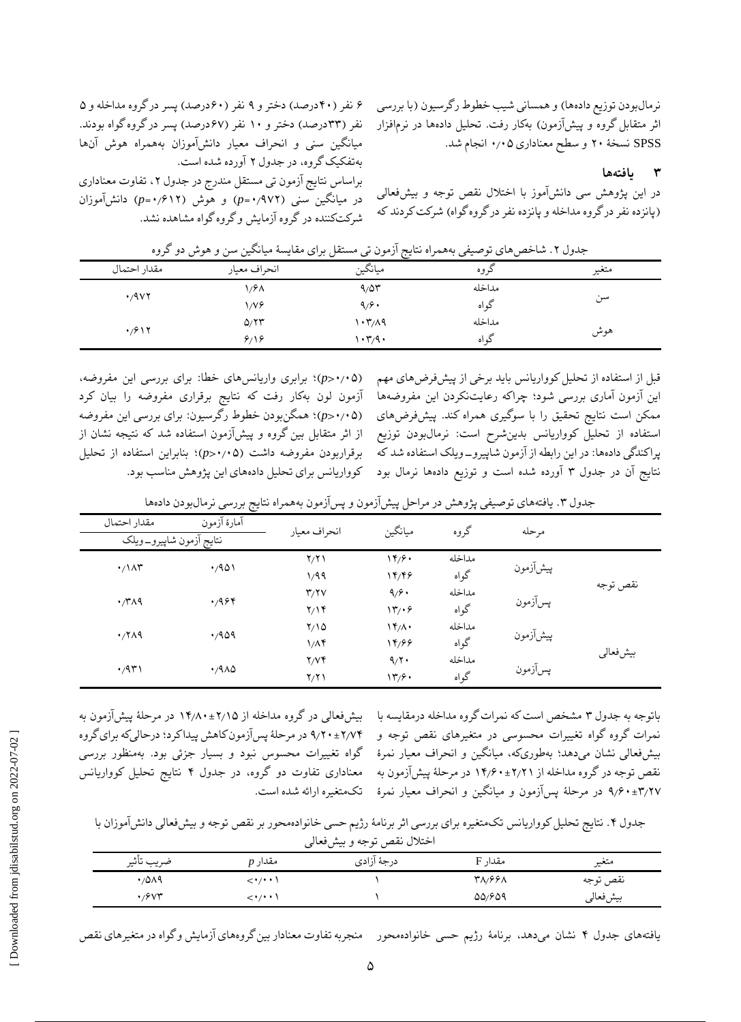نرمالبودن توزیع دادهها) و همسانی شیب خطوط رگرسیون (با بررسی اثر متقابل گروه و پیشآزمون) بهکار رفت. تحلیل دادهها در نرمافزار SPSS نسخٔه ۲۰ و سطح معناداری ۰٫۰۵ انجام شد.

**۳ یافتهها**

در این پژوهش سی دانشآموز با اختالل نقص توجه و بیشفعالی )پانزده نفر در گروه مداخله و پانزده نفر در گروه گواه( شرکت کردند که

|                   | جندوں ۰. ساختص مائ توصیعی به ممراہ تنایج ارموں نی مستعل برای مقایسه میانگیں میں و مومن دو ۔تروہ |         |        |       |
|-------------------|-------------------------------------------------------------------------------------------------|---------|--------|-------|
| مقدار احتمال      | انحراف معبار                                                                                    | ميانگين | کروہ   | متغير |
|                   | ۱٫۶۸                                                                                            | 9/07    | مداخله |       |
| $\cdot$ /9 $\vee$ | $1/V$ ۶                                                                                         | 9/9.    | گو اه  | سن    |
|                   | 0/77                                                                                            | ۱۰۳/۸۹  | مداخله |       |
| $\cdot$ /۶۱۲      | 8/18                                                                                            | ۱۰۳٫۹۰  | گو اه  | هوش   |

جدول ۲. شاخص های توصیفی بههمراه نتایج آزمون تی مستقل برای مقایسهٔ میانگین سن و هوش دو گروه

قبل از استفاده از تحلیل کوواریانس باید برخی از پیشفرضهای مهم این آزمون آماری بررسی شود؛ چراکه رعایتنکردن این مفروضهها ممکن است نتایج تحقیق را با سوگیری همراه کند. پیشفرضهای استفاده از تحلیل کوواریانس بدینشرح است: نرمالبودن توزیع پراکندگی دادهها: در این رابطه از آزمون شاپیرو-ویلک استفاده شد که نتایج آن در جدول ۳ آورده شده است و توزیع دادهها نرمال بود

)۰٫۰۵>*p*)؛ برابری واریانسهای خطا: برای بررسی این مفروضه، آزمون لون بهکار رفت که نتایج برقراری مفروضه را بیان کرد )۰٫۰۵>*p*)؛ همگنبودن خطوط رگرسیون: برای بررسی این مفروضه از اثر متقابل بین گروه و پیشآزمون استفاده شد که نتیجه نشان از برقراربودن مفروضه داشت )۰٫۰۵>*p*)؛ بنابراین استفاده از تحلیل کوواریانس برای تحلیل دادههای این پژوهش مناسب بود.

۶ نفر (۴۰درصد) دختر و ۹ نفر (۶۰درصد) پسر درگروه مداخله و ۵ نفر (۳۳درصد) دختر و ۱۰ نفر (۶۷درصد) پسر در گروه گواه بودند. میانگین سنی و انحراف معیار دانشآموزان بههمراه هوش آنها

براساس نتایج آزمون تی مستقل مندرج در جدول ۲، تفاوت معناداری در میانگین سنی )۰٫۹۷۲=*p* )و هوش )۰٫۶1۲=*p* )دانشآموزان

بهتفکیک گروه، در جدول ۲ آورده شده است.

شرکتکننده در گروه آزمایش و گروه گواه مشاهده نشد.

جدول ۳. یافتههای توصیفی پژوهش در مراحل پیشآزمون و پسآزمون بههمراه نتایج بررسی نرمالبودن دادهها

| مقدار احتمال            | آمارهٔ آزمون          | انحراف معبار            | ميانگين                   | گروه   | مر حله   |          |
|-------------------------|-----------------------|-------------------------|---------------------------|--------|----------|----------|
| نتايج آزمون شاپيرو_ويلك |                       |                         |                           |        |          |          |
| $\cdot/\lambda$ ۳       | .401                  | Y/Y                     | 14/9.                     | مداخله | پیشآزمون | نقص توجه |
|                         |                       | 1/99                    | 14/46                     | گواه   |          |          |
| $\cdot$ /۳۸۹            | 4,988                 | $\mathbf{r}/\mathbf{v}$ | 9/9.                      | مداخله | پسآزمون  |          |
|                         |                       | Y/Y                     | $\mathcal{N}/\mathcal{S}$ | گواه   |          |          |
| $\cdot$ /۲۸۹            | .409                  | $Y/\Omega$              | $\mathcal{N}(\Lambda)$    | مداخله |          | بيشفعالى |
|                         |                       | $1/\Lambda$ ۴           | 14/66                     | گواه   | پیشآزمون |          |
| $\cdot$ /9٣١            | $\cdot$ /9 $\wedge$ 0 | Y/Vf                    | 9/7                       | مداخله | پسآزمون  |          |
|                         |                       | Y/Y                     | 17/9.                     | گواه   |          |          |

بیشفعالی در گروه مداخله از 1۴٫۸۰±۲٫1۵ در مرحلٔه پیشآزمون به ۹٫۲۰±۲٫۷۴ در مرحلٔه پسآزمون کاهش پیدا کرد؛درحالیکه برای گروه گواه تغییرات محسوس نبود و بسیار جزئی بود. بهمنظور بررسی معناداری تفاوت دو گروه، در جدول ۴ نتایج تحلیل کوواریانس تکمتغیره ارائه شده است.

باتوجه به جدول ۳ مشخص است که نمرات گروه مداخله درمقایسه با نمرات گروه گواه تغییرات محسوسی در متغیرهای نقص توجه و بیشفعالی نشان میدهد؛ بهطوریکه، میانگین و انحراف معیار نمرٔه نقص توجه در گروه مداخله از 1۴٫۶۰±۲٫۲1 در مرحلٔه پیشآزمون به ۹٫۶۰±۳٫۲۷ در مرحلٔه پسآزمون و میانگین و انحراف معیار نمرٔه

جدول .۴ نتایج تحلیل کوواریانس تکمتغیره برای بررسی اثر برنامٔه رژیم حسی خانوادهمحور بر نقص توجه و بیشفعالی دانشآموزان با اختالل نقص توجه و بیشفعالی

| ت                                |                                                     |             |         |          |  |  |
|----------------------------------|-----------------------------------------------------|-------------|---------|----------|--|--|
| ضريب تاثير                       | مقدار p                                             | درجهٔ آزادی | مقدار F | متعير    |  |  |
| $\cdot$ /0/19                    | $\leftarrow$ $\leftarrow$ $\leftarrow$ $\leftarrow$ |             | 38888   | نقص توجه |  |  |
| $\cdot$ / $\circ$ $\vee$ $\star$ | $\langle \cdot \rangle \cdot \cdot \rangle$         |             | 00/809  | بيشفعالر |  |  |

یافتههای جدول ۴ نشان میدهد، برنامٔه رژیم حسی خانوادهمحور منجربه تفاوت معنادار بین گروههای آزمایش و گواه در متغیرهای نقص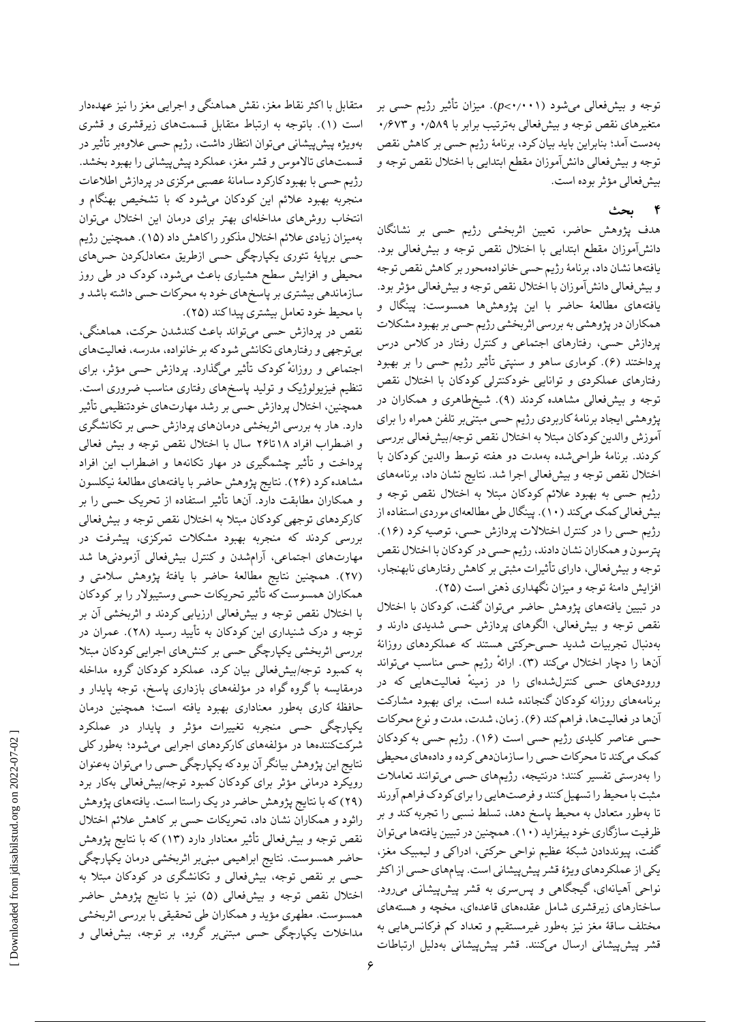توجه و بیشفعالی میشود )۰٫۰۰1<*p*). میزان تأثیر رژیم حسی بر متغیرهای نقص توجه و بیشفعالی بهترتیب برابر با ۰٫۵۸۹ و ۰٫۶۷۳ بهدست آمد؛ بنابراین باید بیان کرد، برنامٔه رژیم حسی بر کاهش نقص توجه و بیشفعالی دانشآموزان مقطع ابتدایی با اختالل نقص توجه و بیشفعالی مؤثر بوده است.

### **4 بحث**

هدف پژوهش حاضر، تعیین اثربخشی رژیم حسی بر نشانگان دانشآموزان مقطع ابتدایی با اختالل نقص توجه و بیشفعالی بود. یافتهها نشان داد، برنامٔهرژیم حسی خانوادهمحوربر کاهش نقص توجه و بیشفعالی دانشآموزان با اختالل نقص توجه و بیشفعالی مؤثر بود. یافتههای مطالعٔه حاضر با این پژوهشها همسوست: پینگال و همکاران در پژوهشی به بررسی اثربخشی رژیم حسی بر بهبود مشکالت پردازش حسی، رفتارهای اجتماعی و کنترل رفتار در کالس درس پرداختند (۶). کوماری ساهو و سنپتی تأثیر رژیم حسی را بر بهبود رفتارهای عملکردی و توانایی خودکنترلی کودکان با اختالل نقص توجه و بیشفعالی مشاهده کردند )۹(. شیخطاهری و همکاران در پژوهشی ایجاد برنامٔهکاربردی رژیم حسی مبتنیبر تلفن همراه را برای آموزش والدین کودکان مبتال به اختالل نقص توجه/بیشفعالی بررسی کردند. برنامٔه طراحیشده بهمدت دو هفته توسط والدین کودکان با اختالل نقص توجه و بیشفعالی اجرا شد. نتایج نشان داد، برنامههای رژیم حسی به بهبود عالئم کودکان مبتال به اختالل نقص توجه و بیشفعالی کمک میکند )1۰(. پینگال طی مطالعهای موردی استفاده از رژیم حسی را در کنترل اختالالت پردازش حسی، توصیه کرد )1۶(. پترسون و همکاران نشان دادند، رژیم حسی در کودکان با اختالل نقص توجه و بیشفعالی، دارای تأثیرات مثبتی بر کاهش رفتارهای نابهنجار، افزایش دامنهٔ توجه و میزان نگهداری ذهنی است (۲۵).

در تبیین یافتههای پژوهش حاضر میتوان گفت، کودکان با اختالل نقص توجه و بیشفعالی، الگوهای پردازش حسی شدیدی دارند و بهدنبال تجربیات شدید حسیحرکتی هستند که عملکردهای روزانٔه آنها را دچار اختالل میکند )۳(. ارائهٔ رژیم حسی مناسب میتواند ورودیهای حسی کنترلشدهای را در زمینهٔ فعالیتهایی که در برنامههای روزانه کودکان گنجانده شده است، برای بهبود مشارکت آنها در فعالیتها، فراهم کند )۶(. زمان، شدت، مدت و نوع محرکات حسی عناصر کلیدی رژیم حسی است )1۶(. رژیم حسی به کودکان کمک میکند تا محرکات حسی را سازماندهی کرده و دادههای محیطی را بهدرستی تفسیر کنند؛ درنتیجه، رژیمهای حسی میتوانند تعامالت مثبت با محیط را تسهیل کنند و فرصتهایی را برای کودک فراهم آورند تا بهطور متعادل به محیط پاسخ دهد، تسلط نسبی را تجربه کند و بر ظرفیت سازگاری خود بیفزاید )1۰(. همچنین در تبیین یافتهها میتوان گفت، پیونددادن شبکٔه عظیم نواحی حرکتی، ادراکی و لیمبیک مغز، یکی از عملکردهای ویژٔه قشر پیشپیشانی است. پیامهای حسی از اکثر نواحی آهیانهای، گیجگاهی و پسسری به قشر پیشپیشانی میرود. ساختارهای زیرقشری شامل عقدههای قاعدهای، مخچه و هستههای مختلف ساقٔه مغز نیز بهطور غیرمستقیم و تعداد کم فرکانسهایی به قشر پیشپیشانی ارسال میکنند. قشر پیشپیشانی بهدلیل ارتباطات

متقابل با اکثر نقاط مغز، نقش هماهنگی و اجرایی مغز را نیز عهدهدار است )1(. باتوجه به ارتباط متقابل قسمتهای زیرقشری و قشری بهویژه پیشپیشانی میتوان انتظار داشت، رژیم حسی عالوهبر تأثیر در قسمتهای تاالموس و قشر مغز، عملکرد پیشپیشانی را بهبود بخشد. رژیم حسی با بهبود کارکرد سامانٔه عصبی مرکزی در پردازش اطالعات منجربه بهبود عالئم این کودکان میشود که با تشخیص بهنگام و انتخاب روشهای مداخلهای بهتر برای درمان این اختالل میتوان بهمیزان زیادی عالئم اختالل مذکور را کاهش داد )1۵(. همچنین رژیم حسی برپایٔه تئوری یکپارچگی حسی ازطریق متعادلکردن حسهای محیطی و افزایش سطح هشیاری باعث میشود، کودک در طی روز سازماندهی بیشتری بر پاسخهای خود به محرکات حسی داشته باشد و با محیط خود تعامل بیشتری پیدا کند )۲۵(.

نقص در پردازش حسی میتواند باعث کندشدن حرکت، هماهنگی، بیتوجهی و رفتارهای تکانشی شود که بر خانواده، مدرسه، فعالیتهای اجتماعی و روزانهٔ کودک تأثیر میگذارد. پردازش حسی مؤثر، برای تنظیم فیزیولوژیک و تولید پاسخهای رفتاری مناسب ضروری است. همچنین، اختالل پردازش حسی بر رشد مهارتهای خودتنظیمی تأثیر دارد. هار به بررسی اثربخشی درمانهای پردازش حسی بر تکانشگری و اضطراب افراد 1۸تا۲۶ سال با اختالل نقص توجه و بیش فعالی پرداخت و تأثیر چشمگیری در مهار تکانهها و اضطراب این افراد مشاهده کرد )۲۶(. نتایج پژوهش حاضر با یافتههای مطالعٔه نیکلسون و همکاران مطابقت دارد. آنها تأثیر استفاده از تحریک حسی را بر کارکردهای توجهی کودکان مبتال به اختالل نقص توجه و بیشفعالی بررسی کردند که منجربه بهبود مشکالت تمرکزی، پیشرفت در مهارتهای اجتماعی، آرامشدن و کنترل بیشفعالی آزمودنیها شد )۲۷(. همچنین نتایج مطالعٔه حاضر با یافتٔه پژوهش سالمتی و همکاران همسوستکه تأثیر تحریکات حسی وستیبوالر را بر کودکان با اختالل نقص توجه و بیشفعالی ارزیابی کردند و اثربخشی آن بر توجه و درک شنیداری این کودکان به تأیید رسید )۲۸(. عمران در بررسی اثربخشی یکپارچگی حسی بر کنشهای اجرایی کودکان مبتال به کمبود توجه/بیشفعالی بیان کرد، عملکرد کودکان گروه مداخله درمقایسه با گروه گواه در مؤلفههای بازداری پاسخ، توجه پایدار و حافظٔه کاری بهطور معناداری بهبود یافته است؛ همچنین درمان یکپارچگی حسی منجربه تغییرات مؤثر و پایدار در عملکرد شرکتکنندهها در مؤلفههای کارکردهای اجرایی میشود؛ بهطور کلی نتایج این پژوهش بیانگر آن بودکه یکپارچگی حسی را میتوان بهعنوان رویکرد درمانی مؤثر برای کودکان کمبود توجه/بیشفعالی بهکار برد )۲۹(که با نتایج پژوهش حاضر در یک راستا است. یافتههای پژوهش راثود و همکاران نشان داد، تحریکات حسی بر کاهش عالئم اختالل نقص توجه و بیشفعالی تأثیر معنادار دارد (۱۳) که با نتایج پژوهش حاضر همسوست. نتایج ابراهیمی مبنیبر اثربخشی درمان یکپارچگی حسی بر نقص توجه، بیشفعالی و تکانشگری در کودکان مبتال به اختالل نقص توجه و بیشفعالی )۵( نیز با نتایج پژوهش حاضر همسوست. مطهری مؤید و همکاران طی تحقیقی با بررسی اثربخشی مداخالت یکپارچگی حسی مبتنیبر گروه، بر توجه، بیشفعالی و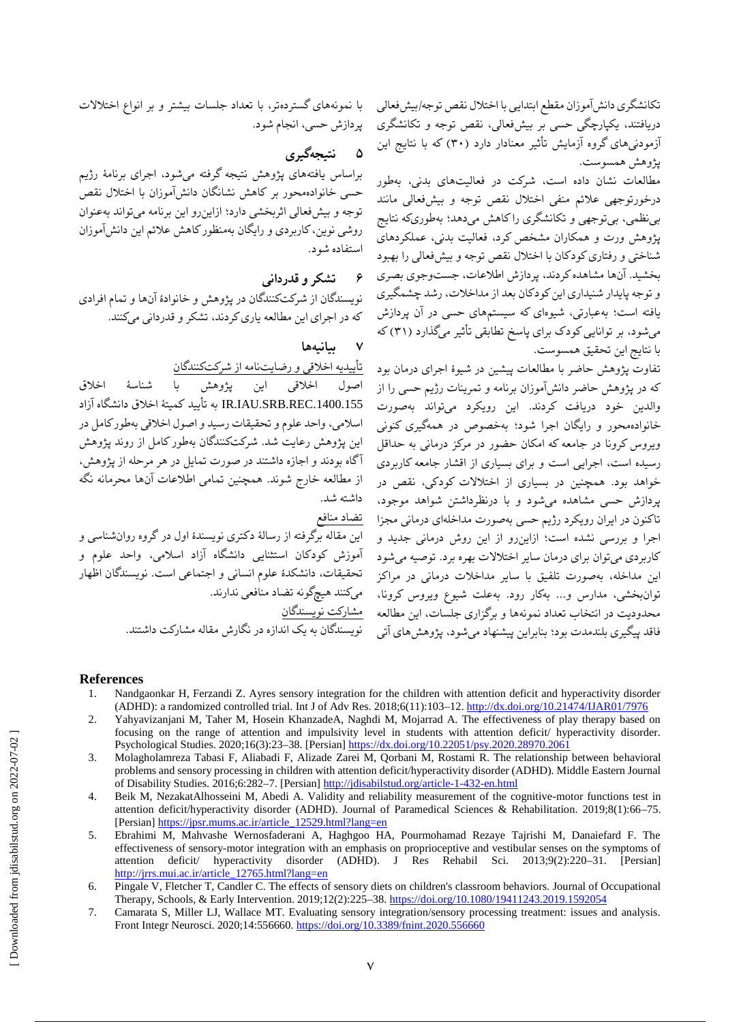تکانشگری دانشآموزان مقطع ابتدایی با اختلال نقص توجه/بیشفعالی دریافتند، یکپارچگی حسی بر بیشفعالی، نقص توجه و تکانشگری آزمودنیهای گروه آزمایش تأثیر معنادار دارد )۳۰( که با نتایج این پژوهش همسوست.

مطالعات نشان داده است، شرکت در فعالیتهای بدنی، بهطور درخورتوجهی عالئم منفی اختالل نقص توجه و بیشفعالی مانند بینظمی، بیتوجهی و تکانشگری را کاهش میدهد؛ بهطوریکه نتایج پژوهش ورت و همکاران مشخص کرد، فعالیت بدنی، عملکردهای شناختی و رفتاری کودکان با اختالل نقص توجه و بیشفعالی را بهبود بخشید. آنها مشاهدهکردند، پردازش اطالعات، جستوجوی بصری و توجه پایدار شنیداری این کودکان بعد از مداخالت، رشد چشمگیری یافته است؛ بهعبارتی، شیوهای که سیستمهای حسی در آن پردازش میشود، بر توانایی کودک برای پاسخ تطابقی تأثیر میگذارد )۳1( که با نتایج این تحقیق همسوست.

تفاوت پژوهش حاضر با مطالعات پیشین در شیؤه اجرای درمان بود که در پژوهش حاضر دانشآموزان برنامه و تمرینات رژیم حسی را از والدین خود دریافت کردند. این رویکرد میتواند بهصورت خانوادهمحور و رایگان اجرا شود؛ بهخصوص در همهگیری کنونی ویروس کرونا در جامعه که امکان حضور در مرکز درمانی به حداقل رسیده است، اجرایی است و برای بسیاری از اقشار جامعه کاربردی خواهد بود. همچنین در بسیاری از اختالالت کودکی، نقص در پردازش حسی مشاهده میشود و با درنظرداشتن شواهد موجود، تاکنون در ایران رویکرد رژیم حسی بهصورت مداخلهای درمانی مجزا اجرا و بررسی نشده است؛ ازاینرو از این روش درمانی جدید و کاربردی میتوان برای درمان سایر اختالالت بهره برد. توصیه میشود این مداخله، بهصورت تلفیق با سایر مداخالت درمانی در مراکز توانبخشی، مدارس و... بهکار رود. بهعلت شیوع ویروس کرونا، محدودیت در انتخاب تعداد نمونهها و برگزاری جلسات، این مطالعه \_ <u>مشارکت نویسندگان</u> فاقد پیگیری بلندمدت بود؛ بنابراین پیشنهاد میشود، پژوهشهای آتی

با نمونههای گستردهتر، با تعداد جلسات بیشتر و بر انواع اختالالت پردازش حسی، انجام شود.

**۵ نتیجهگیری**

براساس یافتههای پژوهش نتیجه گرفته میشود، اجرای برنامٔه رژیم حسی خانوادهمحور بر کاهش نشانگان دانشآموزان با اختالل نقص توجه و بیشفعالی اثربخشی دارد؛ ازاینرو این برنامه میتواند بهعنوان روشی نوین، کاربردی و رایگان بهمنظورکاهش عالئم این دانشآموزان استفاده شود.

**6 تشکر و قدردانی**

نویسندگان از شرکتکنندگان در پژوهش و خانوادٔه آنها و تمام افرادی که در اجرای این مطالعه یاری کردند، تشکر و قدردانی میکنند.

**7 بیانیهها**

تأییدیه اخالقی و رضایتنامه از شرکتکنندگان

اصول اخالقی این پژوهش با شناسٔه اخالق .1400.155REC.SRB.IAU.IR به تأیید کمیتٔه اخالق دانشگاه آزاد اسالمی، واحد علوم و تحقیقات رسید و اصول اخالقی بهطور کامل در این پژوهش رعایت شد. شرکتکنندگان بهطور کامل از روند پژوهش آگاه بودند و اجازه داشتند در صورت تمایل در هر مرحله از پژوهش، از مطالعه خارج شوند. همچنین تمامی اطالعات آنها محرمانه نگه داشته شد.

تضاد منافع

این مقاله برگرفته از رسالٔه دکتری نویسندٔه اول در گروه روانشناسی و آموزش کودکان استثنایی دانشگاه آزاد اسالمی، واحد علوم و تحقیقات، دانشکدٔه علوم انسانی و اجتماعی است. نویسندگان اظهار میکنند هیچگونه تضاد منافعی ندارند.

نویسندگان به یک اندازه در نگارش مقاله مشارکت داشتند.

- 1. Nandgaonkar H, Ferzandi Z. Ayres sensory integration for the children with attention deficit and hyperactivity disorder (ADHD): a randomized controlled trial. Int J of Adv Res. 2018;6(11):103–12[. http://dx.doi.org/10.21474/IJAR01/7976](http://dx.doi.org/10.21474/IJAR01/7976)
- 2. Yahyavizanjani M, Taher M, Hosein KhanzadeA, Naghdi M, Mojarrad A. The effectiveness of play therapy based on focusing on the range of attention and impulsivity level in students with attention deficit/ hyperactivity disorder. Psychological Studies. 2020;16(3):23–38. [Persian[\] https://dx.doi.org/10.22051/psy.2020.28970.2061](https://dx.doi.org/10.22051/psy.2020.28970.2061)
- 3. Molagholamreza Tabasi F, Aliabadi F, Alizade Zarei M, Qorbani M, Rostami R. The relationship between behavioral problems and sensory processing in children with attention deficit/hyperactivity disorder (ADHD). Middle Eastern Journal of Disability Studies. 2016;6:282–7. [Persian]<http://jdisabilstud.org/article-1-432-en.html>
- 4. Beik M, NezakatAlhosseini M, Abedi A. Validity and reliability measurement of the cognitive-motor functions test in attention deficit/hyperactivity disorder (ADHD). Journal of Paramedical Sciences & Rehabilitation. 2019;8(1):66–75. [Persian] [https://jpsr.mums.ac.ir/article\\_12529.html?lang=en](https://jpsr.mums.ac.ir/article_12529.html?lang=en)
- 5. Ebrahimi M, Mahvashe Wernosfaderani A, Haghgoo HA, Pourmohamad Rezaye Tajrishi M, Danaiefard F. The effectiveness of sensory-motor integration with an emphasis on proprioceptive and vestibular senses on the symptoms of attention deficit/ hyperactivity disorder (ADHD). J Res Rehabil Sci. 2013;9(2):220–31. [Persian] [http://jrrs.mui.ac.ir/article\\_12765.html?lang=en](http://jrrs.mui.ac.ir/article_12765.html?lang=en)
- 6. Pingale V, Fletcher T, Candler C. The effects of sensory diets on children's classroom behaviors. Journal of Occupational Therapy, Schools, & Early Intervention. 2019;12(2):225–38[. https://doi.org/10.1080/19411243.2019.1592054](https://doi.org/10.1080/19411243.2019.1592054)
- 7. Camarata S, Miller LJ, Wallace MT. Evaluating sensory integration/sensory processing treatment: issues and analysis. Front Integr Neurosci. 2020;14:556660[. https://doi.org/10.3389/fnint.2020.556660](https://doi.org/10.3389/fnint.2020.556660)